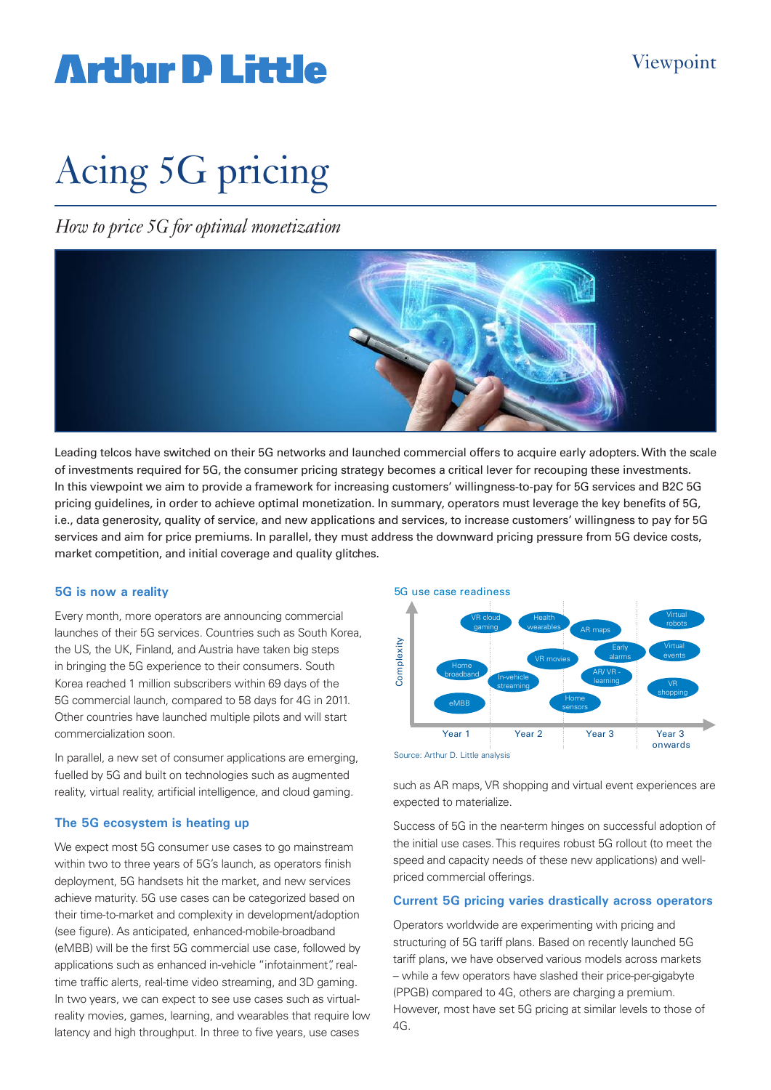## **Arthur D Little**

# Acing 5G pricing

*How to price 5G for optimal monetization* 



Leading telcos have switched on their 5G networks and launched commercial offers to acquire early adopters. With the scale of investments required for 5G, the consumer pricing strategy becomes a critical lever for recouping these investments. In this viewpoint we aim to provide a framework for increasing customers' willingness-to-pay for 5G services and B2C 5G pricing guidelines, in order to achieve optimal monetization. In summary, operators must leverage the key benefits of 5G, i.e., data generosity, quality of service, and new applications and services, to increase customers' willingness to pay for 5G services and aim for price premiums. In parallel, they must address the downward pricing pressure from 5G device costs, market competition, and initial coverage and quality glitches.

### **5G is now a reality**

Every month, more operators are announcing commercial launches of their 5G services. Countries such as South Korea, the US, the UK, Finland, and Austria have taken big steps in bringing the 5G experience to their consumers. South Korea reached 1 million subscribers within 69 days of the 5G commercial launch, compared to 58 days for 4G in 2011. Other countries have launched multiple pilots and will start commercialization soon.

In parallel, a new set of consumer applications are emerging, fuelled by 5G and built on technologies such as augmented reality, virtual reality, artificial intelligence, and cloud gaming.

## **The 5G ecosystem is heating up**

We expect most 5G consumer use cases to go mainstream within two to three years of 5G's launch, as operators finish deployment, 5G handsets hit the market, and new services achieve maturity. 5G use cases can be categorized based on their time-to-market and complexity in development/adoption (see figure). As anticipated, enhanced-mobile-broadband (eMBB) will be the first 5G commercial use case, followed by applications such as enhanced in-vehicle "infotainment", realtime traffic alerts, real-time video streaming, and 3D gaming. In two years, we can expect to see use cases such as virtualreality movies, games, learning, and wearables that require low latency and high throughput. In three to five years, use cases





Source: Arthur D. Little analysis

such as AR maps, VR shopping and virtual event experiences are expected to materialize.

Success of 5G in the near-term hinges on successful adoption of the initial use cases. This requires robust 5G rollout (to meet the speed and capacity needs of these new applications) and wellpriced commercial offerings.

## **Current 5G pricing varies drastically across operators**

Operators worldwide are experimenting with pricing and structuring of 5G tariff plans. Based on recently launched 5G tariff plans, we have observed various models across markets – while a few operators have slashed their price-per-gigabyte (PPGB) compared to 4G, others are charging a premium. However, most have set 5G pricing at similar levels to those of 4G.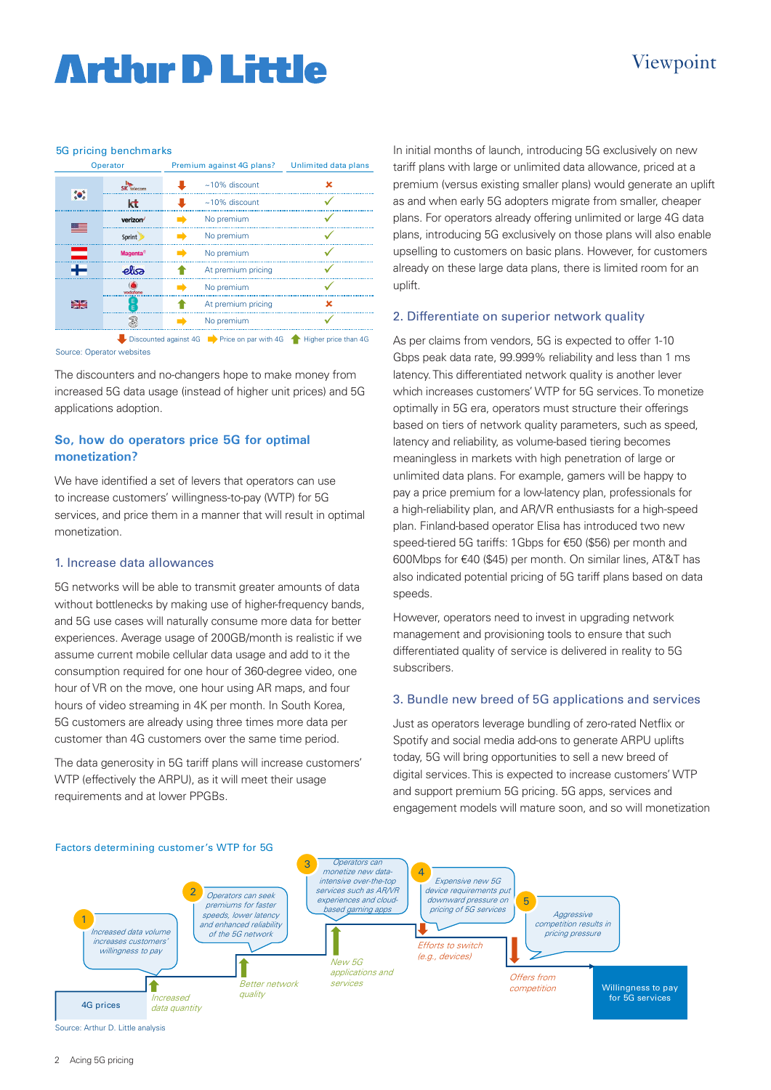## **Arthur D Little**

## Viewpoint

#### 5G pricing benchmarks

| Operator  |                             | Premium against 4G plans? Unlimited data plans |   |
|-----------|-----------------------------|------------------------------------------------|---|
|           | <b>SK</b> telecom           | $~10\%$ discount                               | × |
| $\bullet$ | kt                          | $\approx$ 10% discount                         |   |
|           | verizon <sup>/</sup>        | No premium                                     |   |
|           | Sprint <sup>y</sup>         | No premium                                     |   |
|           | <b>Magenta</b> <sup>®</sup> | No premium                                     |   |
|           | elia                        | At premium pricing                             |   |
|           | vodafone                    | No premium                                     |   |
| ⊯≼        | E                           | At premium pricing                             | × |
|           |                             | No premium                                     |   |

Source: Operator websites Discounted against 4G Price on par with 4G **A** Higher price than 4G

The discounters and no-changers hope to make money from increased 5G data usage (instead of higher unit prices) and 5G applications adoption.

## **So, how do operators price 5G for optimal monetization?**

We have identified a set of levers that operators can use to increase customers' willingness-to-pay (WTP) for 5G services, and price them in a manner that will result in optimal monetization.

### 1. Increase data allowances

5G networks will be able to transmit greater amounts of data without bottlenecks by making use of higher-frequency bands, and 5G use cases will naturally consume more data for better experiences. Average usage of 200GB/month is realistic if we assume current mobile cellular data usage and add to it the consumption required for one hour of 360-degree video, one hour of VR on the move, one hour using AR maps, and four hours of video streaming in 4K per month. In South Korea, 5G customers are already using three times more data per customer than 4G customers over the same time period.

The data generosity in 5G tariff plans will increase customers' WTP (effectively the ARPU), as it will meet their usage requirements and at lower PPGBs.

In initial months of launch, introducing 5G exclusively on new tariff plans with large or unlimited data allowance, priced at a premium (versus existing smaller plans) would generate an uplift as and when early 5G adopters migrate from smaller, cheaper plans. For operators already offering unlimited or large 4G data plans, introducing 5G exclusively on those plans will also enable upselling to customers on basic plans. However, for customers already on these large data plans, there is limited room for an uplift.

## 2. Differentiate on superior network quality

As per claims from vendors, 5G is expected to offer 1-10 Gbps peak data rate, 99.999% reliability and less than 1 ms latency. This differentiated network quality is another lever which increases customers' WTP for 5G services. To monetize optimally in 5G era, operators must structure their offerings based on tiers of network quality parameters, such as speed, latency and reliability, as volume-based tiering becomes meaningless in markets with high penetration of large or unlimited data plans. For example, gamers will be happy to pay a price premium for a low-latency plan, professionals for a high-reliability plan, and AR/VR enthusiasts for a high-speed plan. Finland-based operator Elisa has introduced two new speed-tiered 5G tariffs: 1Gbps for €50 (\$56) per month and 600Mbps for €40 (\$45) per month. On similar lines, AT&T has also indicated potential pricing of 5G tariff plans based on data speeds.

However, operators need to invest in upgrading network management and provisioning tools to ensure that such differentiated quality of service is delivered in reality to 5G subscribers.

### 3. Bundle new breed of 5G applications and services

Just as operators leverage bundling of zero-rated Netflix or Spotify and social media add-ons to generate ARPU uplifts today, 5G will bring opportunities to sell a new breed of digital services. This is expected to increase customers' WTP and support premium 5G pricing. 5G apps, services and engagement models will mature soon, and so will monetization



Source: Arthur D. Little analysis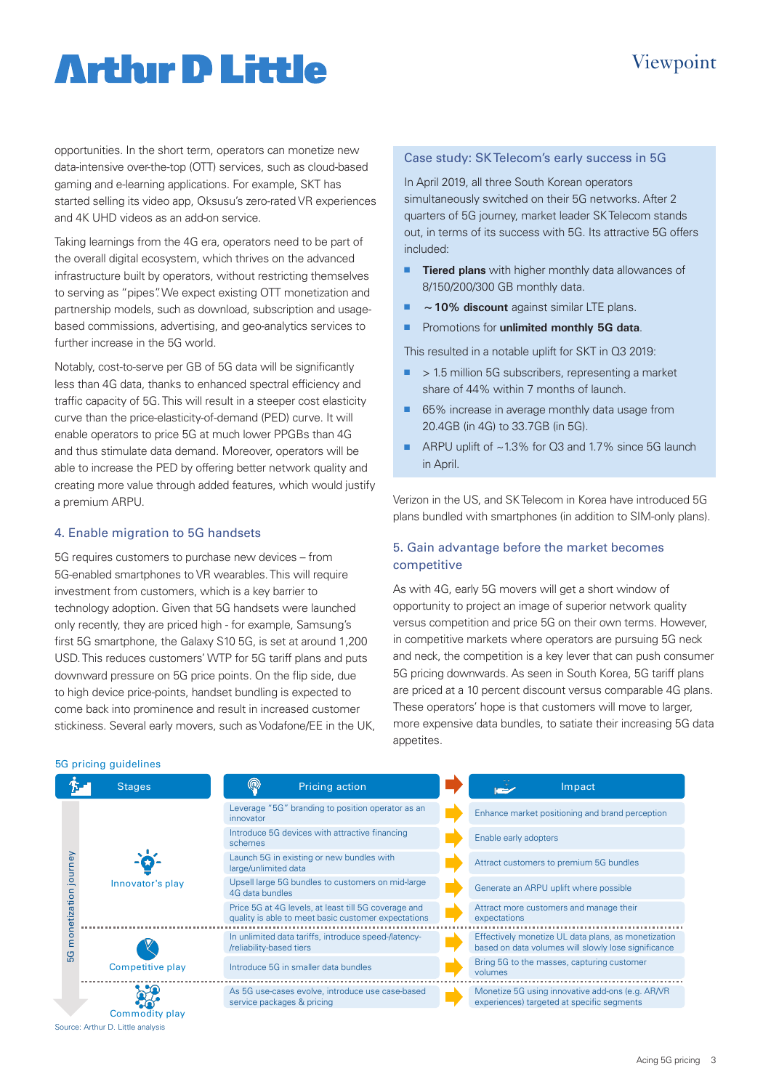## Viewpoint

## **Artlur D Little**

opportunities. In the short term, operators can monetize new data-intensive over-the-top (OTT) services, such as cloud-based gaming and e-learning applications. For example, SKT has started selling its video app, Oksusu's zero-rated VR experiences and 4K UHD videos as an add-on service.

Taking learnings from the 4G era, operators need to be part of the overall digital ecosystem, which thrives on the advanced infrastructure built by operators, without restricting themselves to serving as "pipes". We expect existing OTT monetization and partnership models, such as download, subscription and usagebased commissions, advertising, and geo-analytics services to further increase in the 5G world.

Notably, cost-to-serve per GB of 5G data will be significantly less than 4G data, thanks to enhanced spectral efficiency and traffic capacity of 5G. This will result in a steeper cost elasticity curve than the price-elasticity-of-demand (PED) curve. It will enable operators to price 5G at much lower PPGBs than 4G and thus stimulate data demand. Moreover, operators will be able to increase the PED by offering better network quality and creating more value through added features, which would justify a premium ARPU.

## 4. Enable migration to 5G handsets

5G requires customers to purchase new devices – from 5G-enabled smartphones to VR wearables. This will require investment from customers, which is a key barrier to technology adoption. Given that 5G handsets were launched only recently, they are priced high - for example, Samsung's first 5G smartphone, the Galaxy S10 5G, is set at around 1,200 USD. This reduces customers' WTP for 5G tariff plans and puts downward pressure on 5G price points. On the flip side, due to high device price-points, handset bundling is expected to come back into prominence and result in increased customer stickiness. Several early movers, such as Vodafone/EE in the UK,

#### Case study: SK Telecom's early success in 5G

In April 2019, all three South Korean operators simultaneously switched on their 5G networks. After 2 quarters of 5G journey, market leader SK Telecom stands out, in terms of its success with 5G. Its attractive 5G offers included:

- **Tiered plans** with higher monthly data allowances of 8/150/200/300 GB monthly data.
- **10% discount** against similar LTE plans.
- **n** Promotions for **unlimited monthly 5G data**.

This resulted in a notable uplift for SKT in Q3 2019:

- $\blacksquare$  > 1.5 million 5G subscribers, representing a market share of 44% within 7 months of launch.
- 65% increase in average monthly data usage from 20.4GB (in 4G) to 33.7GB (in 5G).
- ARPU uplift of  $\sim$  1.3% for Q3 and 1.7% since 5G launch in April.

Verizon in the US, and SK Telecom in Korea have introduced 5G plans bundled with smartphones (in addition to SIM-only plans).

## 5. Gain advantage before the market becomes competitive

As with 4G, early 5G movers will get a short window of opportunity to project an image of superior network quality versus competition and price 5G on their own terms. However, in competitive markets where operators are pursuing 5G neck and neck, the competition is a key lever that can push consumer 5G pricing downwards. As seen in South Korea, 5G tariff plans are priced at a 10 percent discount versus comparable 4G plans. These operators' hope is that customers will move to larger, more expensive data bundles, to satiate their increasing 5G data appetites.

| 5G pricing guidelines |  |
|-----------------------|--|
|-----------------------|--|

Source: Arthur D. Little analysis

|                                                         | <b>Stages</b>           | $^{\circledR}$<br>Pricing action                                                                            | Impact                                                                                                     |
|---------------------------------------------------------|-------------------------|-------------------------------------------------------------------------------------------------------------|------------------------------------------------------------------------------------------------------------|
| urney<br>$\overline{\mathsf{C}}$<br>etizatio<br>$\circ$ |                         | Leverage "5G" branding to position operator as an<br>innovator                                              | Enhance market positioning and brand perception                                                            |
|                                                         |                         | Introduce 5G devices with attractive financing<br>schemes                                                   | Enable early adopters                                                                                      |
|                                                         |                         | Launch 5G in existing or new bundles with<br>large/unlimited data                                           | Attract customers to premium 5G bundles                                                                    |
|                                                         | Innovator's play        | Upsell large 5G bundles to customers on mid-large<br>4G data bundles                                        | Generate an ARPU uplift where possible                                                                     |
|                                                         |                         | Price 5G at 4G levels, at least till 5G coverage and<br>quality is able to meet basic customer expectations | Attract more customers and manage their<br>expectations                                                    |
|                                                         |                         | In unlimited data tariffs, introduce speed-/latency-<br>/reliability-based tiers                            | Effectively monetize UL data plans, as monetization<br>based on data volumes will slowly lose significance |
|                                                         | <b>Competitive play</b> | Introduce 5G in smaller data bundles                                                                        | Bring 5G to the masses, capturing customer<br>volumes                                                      |
|                                                         |                         | As 5G use-cases evolve, introduce use case-based<br>service packages & pricing                              | Monetize 5G using innovative add-ons (e.g. AR/VR<br>experiences) targeted at specific segments             |
|                                                         | Commodity play          |                                                                                                             |                                                                                                            |